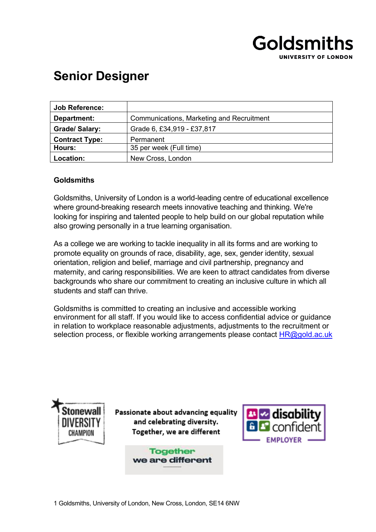

# **Senior Designer**

| <b>Job Reference:</b> |                                           |
|-----------------------|-------------------------------------------|
| Department:           | Communications, Marketing and Recruitment |
| <b>Grade/Salary:</b>  | Grade 6, £34,919 - £37,817                |
| <b>Contract Type:</b> | Permanent                                 |
| Hours:                | 35 per week (Full time)                   |
| Location:             | New Cross, London                         |

## **Goldsmiths**

Goldsmiths, University of London is a world-leading centre of educational excellence where ground-breaking research meets innovative teaching and thinking. We're looking for inspiring and talented people to help build on our global reputation while also growing personally in a true learning organisation.

As a college we are working to tackle inequality in all its forms and are working to promote equality on grounds of race, disability, age, sex, gender identity, sexual orientation, religion and belief, marriage and civil partnership, pregnancy and maternity, and caring responsibilities. We are keen to attract candidates from diverse backgrounds who share our commitment to creating an inclusive culture in which all students and staff can thrive.

Goldsmiths is committed to creating an inclusive and accessible working environment for all staff. If you would like to access confidential advice or guidance in relation to workplace reasonable adjustments, adjustments to the recruitment or selection process, or flexible working arrangements please contact HR@gold.ac.uk



Passionate about advancing equality and celebrating diversity. Together, we are different

> **Together** we are different

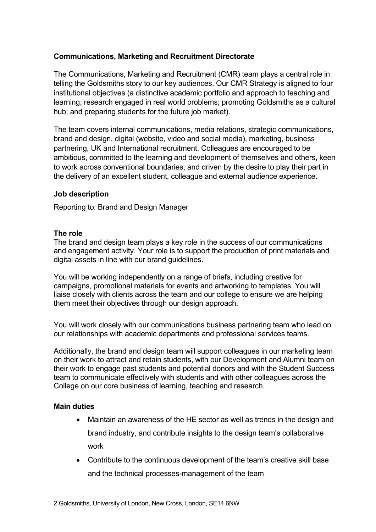# **Communications, Marketing and Recruitment Directorate**

The Communications, Marketing and Recruitment (CMR) team plays a central role in telling the Goldsmiths story to our key audiences. Our CMR Strategy is aligned to four institutional objectives (a distinctive academic portfolio and approach to teaching and learning; research engaged in real world problems; promoting Goldsmiths as a cultural hub; and preparing students for the future job market).

The team covers internal communications, media relations, strategic communications, brand and design, digital (website, video and social media), marketing, business partnering, UK and International recruitment. Colleagues are encouraged to be ambitious, committed to the learning and development of themselves and others, keen to work across conventional boundaries, and driven by the desire to play their part in the delivery of an excellent student, colleague and external audience experience.

## **Job description**

Reporting to: Brand and Design Manager

#### **The role**

The brand and design team plays a key role in the success of our communications and engagement activity. Your role is to support the production of print materials and digital assets in line with our brand guidelines.

You will be working independently on a range of briefs, including creative for campaigns, promotional materials for events and artworking to templates. You will liaise closely with clients across the team and our college to ensure we are helping them meet their objectives through our design approach.

You will work closely with our communications business partnering team who lead on our relationships with academic departments and professional services teams.

Additionally, the brand and design team will support colleagues in our marketing team on their work to attract and retain students, with our Development and Alumni team on their work to engage past students and potential donors and with the Student Success team to communicate effectively with students and with other colleagues across the College on our core business of learning, teaching and research.

## **Main duties**

- Maintain an awareness of the HE sector as well as trends in the design and brand industry, and contribute insights to the design team's collaborative work
- Contribute to the continuous development of the team's creative skill base and the technical processes-management of the team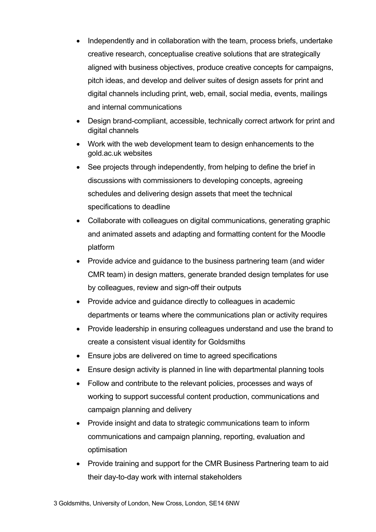- Independently and in collaboration with the team, process briefs, undertake creative research, conceptualise creative solutions that are strategically aligned with business objectives, produce creative concepts for campaigns, pitch ideas, and develop and deliver suites of design assets for print and digital channels including print, web, email, social media, events, mailings and internal communications
- Design brand-compliant, accessible, technically correct artwork for print and digital channels
- Work with the web development team to design enhancements to the gold.ac.uk websites
- See projects through independently, from helping to define the brief in discussions with commissioners to developing concepts, agreeing schedules and delivering design assets that meet the technical specifications to deadline
- Collaborate with colleagues on digital communications, generating graphic and animated assets and adapting and formatting content for the Moodle platform
- Provide advice and guidance to the business partnering team (and wider CMR team) in design matters, generate branded design templates for use by colleagues, review and sign-off their outputs
- Provide advice and guidance directly to colleagues in academic departments or teams where the communications plan or activity requires
- Provide leadership in ensuring colleagues understand and use the brand to create a consistent visual identity for Goldsmiths
- Ensure jobs are delivered on time to agreed specifications
- Ensure design activity is planned in line with departmental planning tools
- Follow and contribute to the relevant policies, processes and ways of working to support successful content production, communications and campaign planning and delivery
- Provide insight and data to strategic communications team to inform communications and campaign planning, reporting, evaluation and optimisation
- Provide training and support for the CMR Business Partnering team to aid their day-to-day work with internal stakeholders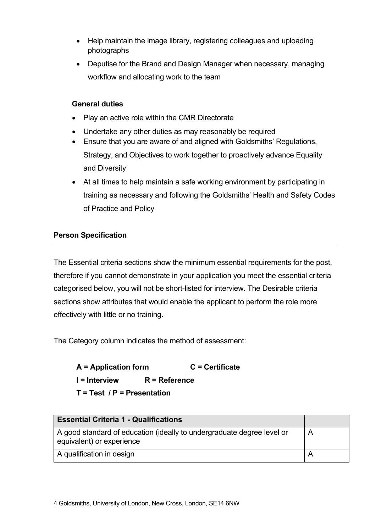- Help maintain the image library, registering colleagues and uploading photographs
- Deputise for the Brand and Design Manager when necessary, managing workflow and allocating work to the team

# **General duties**

- Play an active role within the CMR Directorate
- Undertake any other duties as may reasonably be required
- Ensure that you are aware of and aligned with Goldsmiths' Regulations,

Strategy, and Objectives to work together to proactively advance Equality and Diversity

• At all times to help maintain a safe working environment by participating in training as necessary and following the Goldsmiths' Health and Safety Codes of Practice and Policy

# **Person Specification**

The Essential criteria sections show the minimum essential requirements for the post, therefore if you cannot demonstrate in your application you meet the essential criteria categorised below, you will not be short-listed for interview. The Desirable criteria sections show attributes that would enable the applicant to perform the role more effectively with little or no training.

The Category column indicates the method of assessment:

**A = Application form C = Certificate I = Interview R = Reference T = Test / P = Presentation**

| <b>Essential Criteria 1 - Qualifications</b>                                                             |  |
|----------------------------------------------------------------------------------------------------------|--|
| A good standard of education (ideally to undergraduate degree level or<br>A<br>equivalent) or experience |  |
| A qualification in design                                                                                |  |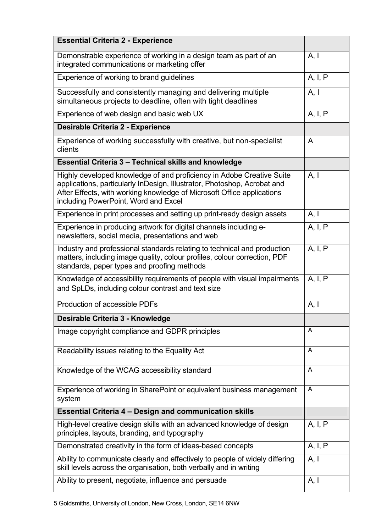| <b>Essential Criteria 2 - Experience</b>                                                                                                                                                                                                                            |         |
|---------------------------------------------------------------------------------------------------------------------------------------------------------------------------------------------------------------------------------------------------------------------|---------|
| Demonstrable experience of working in a design team as part of an<br>integrated communications or marketing offer                                                                                                                                                   | A, I    |
| Experience of working to brand guidelines                                                                                                                                                                                                                           | A, I, P |
| Successfully and consistently managing and delivering multiple<br>simultaneous projects to deadline, often with tight deadlines                                                                                                                                     | A, I    |
| Experience of web design and basic web UX                                                                                                                                                                                                                           | A, I, P |
| <b>Desirable Criteria 2 - Experience</b>                                                                                                                                                                                                                            |         |
| Experience of working successfully with creative, but non-specialist<br>clients                                                                                                                                                                                     | A       |
| <b>Essential Criteria 3 - Technical skills and knowledge</b>                                                                                                                                                                                                        |         |
| Highly developed knowledge of and proficiency in Adobe Creative Suite<br>applications, particularly InDesign, Illustrator, Photoshop, Acrobat and<br>After Effects, with working knowledge of Microsoft Office applications<br>including PowerPoint, Word and Excel | A, I    |
| Experience in print processes and setting up print-ready design assets                                                                                                                                                                                              | A, I    |
| Experience in producing artwork for digital channels including e-<br>newsletters, social media, presentations and web                                                                                                                                               | A, I, P |
| Industry and professional standards relating to technical and production<br>matters, including image quality, colour profiles, colour correction, PDF<br>standards, paper types and proofing methods                                                                | A, I, P |
| Knowledge of accessibility requirements of people with visual impairments<br>and SpLDs, including colour contrast and text size                                                                                                                                     | A, I, P |
| Production of accessible PDFs                                                                                                                                                                                                                                       | A, I    |
| Desirable Criteria 3 - Knowledge                                                                                                                                                                                                                                    |         |
| Image copyright compliance and GDPR principles                                                                                                                                                                                                                      | A       |
| Readability issues relating to the Equality Act                                                                                                                                                                                                                     | A       |
| Knowledge of the WCAG accessibility standard                                                                                                                                                                                                                        | A       |
| Experience of working in SharePoint or equivalent business management<br>system                                                                                                                                                                                     | A       |
| <b>Essential Criteria 4 - Design and communication skills</b>                                                                                                                                                                                                       |         |
| High-level creative design skills with an advanced knowledge of design<br>principles, layouts, branding, and typography                                                                                                                                             | A, I, P |
| Demonstrated creativity in the form of ideas-based concepts                                                                                                                                                                                                         | A, I, P |
| Ability to communicate clearly and effectively to people of widely differing<br>skill levels across the organisation, both verbally and in writing                                                                                                                  | A, I    |
| Ability to present, negotiate, influence and persuade                                                                                                                                                                                                               | A, I    |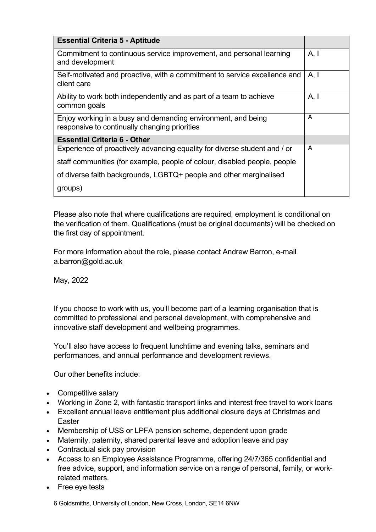| <b>Essential Criteria 5 - Aptitude</b>                                                                        |      |
|---------------------------------------------------------------------------------------------------------------|------|
| Commitment to continuous service improvement, and personal learning<br>and development                        | A, I |
| Self-motivated and proactive, with a commitment to service excellence and<br>client care                      | A, I |
| Ability to work both independently and as part of a team to achieve<br>common goals                           | A, I |
| Enjoy working in a busy and demanding environment, and being<br>responsive to continually changing priorities | A    |
| <b>Essential Criteria 6 - Other</b>                                                                           |      |
| Experience of proactively advancing equality for diverse student and / or                                     | A    |
| staff communities (for example, people of colour, disabled people, people                                     |      |
| of diverse faith backgrounds, LGBTQ+ people and other marginalised                                            |      |
| groups)                                                                                                       |      |

Please also note that where qualifications are required, employment is conditional on the verification of them. Qualifications (must be original documents) will be checked on the first day of appointment.

For more information about the role, please contact Andrew Barron, e-mail a.barron@gold.ac.uk

May, 2022

If you choose to work with us, you'll become part of a learning organisation that is committed to professional and personal development, with comprehensive and innovative staff development and wellbeing programmes.

You'll also have access to frequent lunchtime and evening talks, seminars and performances, and annual performance and development reviews.

Our other benefits include:

- Competitive salary
- Working in Zone 2, with fantastic transport links and interest free travel to work loans
- Excellent annual leave entitlement plus additional closure days at Christmas and Easter
- Membership of USS or LPFA pension scheme, dependent upon grade
- Maternity, paternity, shared parental leave and adoption leave and pay
- Contractual sick pay provision
- Access to an Employee Assistance Programme, offering 24/7/365 confidential and free advice, support, and information service on a range of personal, family, or workrelated matters.
- Free eye tests

6 Goldsmiths, University of London, New Cross, London, SE14 6NW